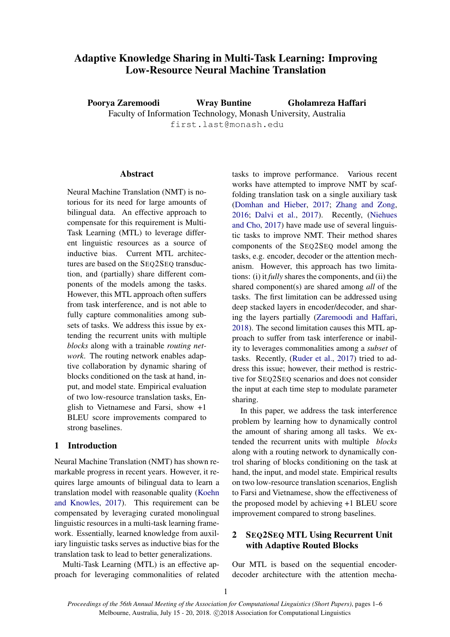# Adaptive Knowledge Sharing in Multi-Task Learning: Improving Low-Resource Neural Machine Translation

Poorya Zaremoodi Wray Buntine Gholamreza Haffari

Faculty of Information Technology, Monash University, Australia first.last@monash.edu

# **Abstract**

Neural Machine Translation (NMT) is notorious for its need for large amounts of bilingual data. An effective approach to compensate for this requirement is Multi-Task Learning (MTL) to leverage different linguistic resources as a source of inductive bias. Current MTL architectures are based on the SEO2SEO transduction, and (partially) share different components of the models among the tasks. However, this MTL approach often suffers from task interference, and is not able to fully capture commonalities among subsets of tasks. We address this issue by extending the recurrent units with multiple *blocks* along with a trainable *routing network*. The routing network enables adaptive collaboration by dynamic sharing of blocks conditioned on the task at hand, input, and model state. Empirical evaluation of two low-resource translation tasks, English to Vietnamese and Farsi, show +1 BLEU score improvements compared to strong baselines.

# 1 Introduction

Neural Machine Translation (NMT) has shown remarkable progress in recent years. However, it requires large amounts of bilingual data to learn a translation model with reasonable quality [\(Koehn](#page-4-0) [and Knowles,](#page-4-0) [2017\)](#page-4-0). This requirement can be compensated by leveraging curated monolingual linguistic resources in a multi-task learning framework. Essentially, learned knowledge from auxiliary linguistic tasks serves as inductive bias for the translation task to lead to better generalizations.

Multi-Task Learning (MTL) is an effective approach for leveraging commonalities of related tasks to improve performance. Various recent works have attempted to improve NMT by scaffolding translation task on a single auxiliary task [\(Domhan and Hieber,](#page-4-1) [2017;](#page-4-1) [Zhang and Zong,](#page-5-0) [2016;](#page-5-0) [Dalvi et al.,](#page-4-2) [2017\)](#page-4-2). Recently, [\(Niehues](#page-5-1) [and Cho,](#page-5-1) [2017\)](#page-5-1) have made use of several linguistic tasks to improve NMT. Their method shares components of the SEQ2SEQ model among the tasks, e.g. encoder, decoder or the attention mechanism. However, this approach has two limitations: (i) it *fully* shares the components, and (ii) the shared component(s) are shared among *all* of the tasks. The first limitation can be addressed using deep stacked layers in encoder/decoder, and sharing the layers partially [\(Zaremoodi and Haffari,](#page-5-2) [2018\)](#page-5-2). The second limitation causes this MTL approach to suffer from task interference or inability to leverages commonalities among a *subset* of tasks. Recently, [\(Ruder et al.,](#page-5-3) [2017\)](#page-5-3) tried to address this issue; however, their method is restrictive for SEQ2SEQ scenarios and does not consider the input at each time step to modulate parameter sharing.

In this paper, we address the task interference problem by learning how to dynamically control the amount of sharing among all tasks. We extended the recurrent units with multiple *blocks* along with a routing network to dynamically control sharing of blocks conditioning on the task at hand, the input, and model state. Empirical results on two low-resource translation scenarios, English to Farsi and Vietnamese, show the effectiveness of the proposed model by achieving +1 BLEU score improvement compared to strong baselines.

# 2 SEQ2SEQ MTL Using Recurrent Unit with Adaptive Routed Blocks

Our MTL is based on the sequential encoderdecoder architecture with the attention mecha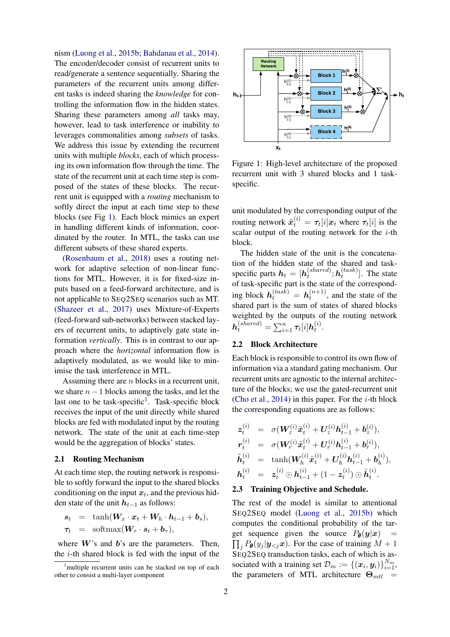nism [\(Luong et al.,](#page-5-4) [2015b;](#page-5-4) [Bahdanau et al.,](#page-4-3) [2014\)](#page-4-3). The encoder/decoder consist of recurrent units to read/generate a sentence sequentially. Sharing the parameters of the recurrent units among different tasks is indeed sharing the *knowledge* for controlling the information flow in the hidden states. Sharing these parameters among *all* tasks may, however, lead to task interference or inability to leverages commonalities among *subsets* of tasks. We address this issue by extending the recurrent units with multiple *blocks*, each of which processing its own information flow through the time. The state of the recurrent unit at each time step is composed of the states of these blocks. The recurrent unit is equipped with a *routing* mechanism to softly direct the input at each time step to these blocks (see Fig [1\)](#page-1-0). Each block mimics an expert in handling different kinds of information, coordinated by the router. In MTL, the tasks can use different subsets of these shared experts.

[\(Rosenbaum et al.,](#page-5-5) [2018\)](#page-5-5) uses a routing network for adaptive selection of non-linear functions for MTL. However, it is for fixed-size inputs based on a feed-forward architecture, and is not applicable to SEQ2SEQ scenarios such as MT. [\(Shazeer et al.,](#page-5-6) [2017\)](#page-5-6) uses Mixture-of-Experts (feed-forward sub-networks) between stacked layers of recurrent units, to adaptively gate state information *vertically*. This is in contrast to our approach where the *horizontal* information flow is adaptively modulated, as we would like to minimise the task interference in MTL.

Assuming there are  $n$  blocks in a recurrent unit, we share  $n-1$  blocks among the tasks, and let the last one to be task-specific<sup>[1](#page-1-1)</sup>. Task-specific block receives the input of the unit directly while shared blocks are fed with modulated input by the routing network. The state of the unit at each time-step would be the aggregation of blocks' states.

#### 2.1 Routing Mechanism

At each time step, the routing network is responsible to softly forward the input to the shared blocks conditioning on the input  $x_t$ , and the previous hidden state of the unit  $h_{t-1}$  as follows:

$$
s_t = \tanh(\boldsymbol{W}_x \cdot \boldsymbol{x}_t + \boldsymbol{W}_h \cdot \boldsymbol{h}_{t-1} + \boldsymbol{b}_s),
$$
  

$$
\boldsymbol{\tau}_t = \text{softmax}(\boldsymbol{W}_\tau \cdot \boldsymbol{s}_t + \boldsymbol{b}_\tau),
$$

where  $W$ 's and  $b$ 's are the parameters. Then, the  $i$ -th shared block is fed with the input of the

<span id="page-1-0"></span>

Figure 1: High-level architecture of the proposed recurrent unit with 3 shared blocks and 1 taskspecific.

unit modulated by the corresponding output of the routing network  $\tilde{x}_t^{(i)} = \tau_t[i]x_t$  where  $\tau_t[i]$  is the scalar output of the routing network for the  $i$ -th block.

The hidden state of the unit is the concatenation of the hidden state of the shared and taskspecific parts  $h_t = [h_t^{(shared)}]$  $t^{(shared)}_t; \bm{h}^{(task)}_t$  $\binom{[task]}{t}$ . The state of task-specific part is the state of the corresponding block  $h_t^{(task)} = h_t^{(n+1)}$  $\binom{n+1}{t}$ , and the state of the shared part is the sum of states of shared blocks weighted by the outputs of the routing network  $\bm{h}_t^{(shared)} = \sum_{i=1}^n \bm{\tau}_t[i] \bm{h}_t^{(i)}$  $\mathbf{t}^{(i)}$ .

# 2.2 Block Architecture

Each block is responsible to control its own flow of information via a standard gating mechanism. Our recurrent units are agnostic to the internal architecture of the blocks; we use the gated-recurrent unit [\(Cho et al.,](#page-4-4) [2014\)](#page-4-4) in this paper. For the  $i$ -th block the corresponding equations are as follows:

$$
\begin{array}{rcl} \mathbf{z}^{(i)}_{t} & = & \sigma(\boldsymbol{W}^{(i)}_{z}\tilde{\boldsymbol{x}}^{(i)}_{t} + \boldsymbol{U}^{(i)}_{z}\boldsymbol{h}^{(i)}_{t-1} + \boldsymbol{b}^{(i)}_{z}), \\ \boldsymbol{r}^{(i)}_{t} & = & \sigma(\boldsymbol{W}^{(i)}_{r}\tilde{\boldsymbol{x}}^{(i)}_{t} + \boldsymbol{U}^{(i)}_{r}\boldsymbol{h}^{(i)}_{t-1} + \boldsymbol{b}^{(i)}_{r}), \\ \tilde{\boldsymbol{h}}^{(i)}_{t} & = & \tanh(\boldsymbol{W}^{(i)}_{h}\tilde{\boldsymbol{x}}^{(i)}_{t} + \boldsymbol{U}^{(i)}_{h}\boldsymbol{h}^{(i)}_{t-1} + \boldsymbol{b}^{(i)}_{h}), \\ \boldsymbol{h}^{(i)}_{t} & = & \mathbf{z}^{(i)}_{t} \odot \boldsymbol{h}^{(i)}_{t-1} + (1 - \boldsymbol{z}^{(i)}_{t}) \odot \tilde{\boldsymbol{h}}^{(i)}_{t}. \end{array}
$$

# 2.3 Training Objective and Schedule.

The rest of the model is similar to attentional SEQ2SEQ model [\(Luong et al.,](#page-5-4) [2015b\)](#page-5-4) which computes the conditional probability of the target sequence given the source  $P_{\theta}(y|x)$  =  $\prod_j P_{\theta}(y_j | y_{\le j} x)$ . For the case of training  $M + 1$ SEQ2SEQ transduction tasks, each of which is associated with a training set  $\mathcal{D}_m := \{(\boldsymbol{x}_i, \boldsymbol{y}_i)\}_{i=1}^{N_m}$ , the parameters of MTL architecture  $\Theta_{mtl}$  =

<span id="page-1-1"></span><sup>&</sup>lt;sup>1</sup>multiple recurrent units can be stacked on top of each other to consist a multi-layer component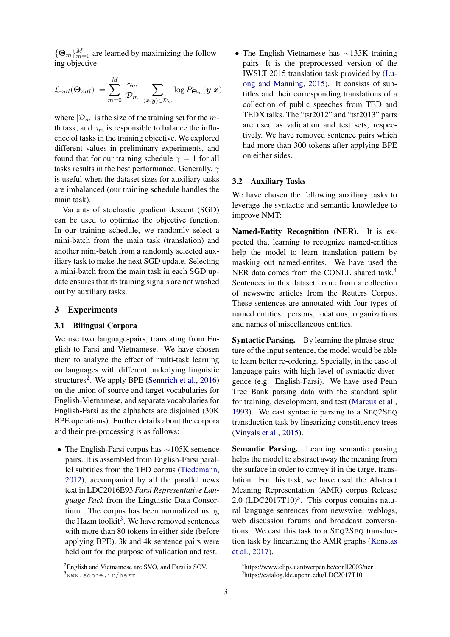${ \{\mathbf{\Theta}_{m}\}_{m=0}^{M}}$  are learned by maximizing the following objective:

$$
\mathcal{L}_{mtl}(\bm{\Theta}_{mtl}) := \sum_{m=0}^{M} \frac{\gamma_m}{|\mathcal{D}_m|} \sum_{(\bm{x},\bm{y})\in\mathcal{D}_m} \log P_{\bm{\Theta}_m}(\bm{y}|\bm{x})
$$

where  $|\mathcal{D}_m|$  is the size of the training set for the mth task, and  $\gamma_m$  is responsible to balance the influence of tasks in the training objective. We explored different values in preliminary experiments, and found that for our training schedule  $\gamma = 1$  for all tasks results in the best performance. Generally,  $\gamma$ is useful when the dataset sizes for auxiliary tasks are imbalanced (our training schedule handles the main task).

Variants of stochastic gradient descent (SGD) can be used to optimize the objective function. In our training schedule, we randomly select a mini-batch from the main task (translation) and another mini-batch from a randomly selected auxiliary task to make the next SGD update. Selecting a mini-batch from the main task in each SGD update ensures that its training signals are not washed out by auxiliary tasks.

# 3 Experiments

#### 3.1 Bilingual Corpora

We use two language-pairs, translating from English to Farsi and Vietnamese. We have chosen them to analyze the effect of multi-task learning on languages with different underlying linguistic structures<sup>[2](#page-2-0)</sup>. We apply BPE [\(Sennrich et al.,](#page-5-7) [2016\)](#page-5-7) on the union of source and target vocabularies for English-Vietnamese, and separate vocabularies for English-Farsi as the alphabets are disjoined (30K BPE operations). Further details about the corpora and their pre-processing is as follows:

• The English-Farsi corpus has ∼105K sentence pairs. It is assembled from English-Farsi parallel subtitles from the TED corpus [\(Tiedemann,](#page-5-8) [2012\)](#page-5-8), accompanied by all the parallel news text in LDC2016E93 *Farsi Representative Language Pack* from the Linguistic Data Consortium. The corpus has been normalized using the Hazm toolkit<sup>[3](#page-2-1)</sup>. We have removed sentences with more than 80 tokens in either side (before applying BPE). 3k and 4k sentence pairs were held out for the purpose of validation and test.

• The English-Vietnamese has ∼133K training pairs. It is the preprocessed version of the IWSLT 2015 translation task provided by [\(Lu](#page-5-9)[ong and Manning,](#page-5-9) [2015\)](#page-5-9). It consists of subtitles and their corresponding translations of a collection of public speeches from TED and TEDX talks. The "tst2012" and "tst2013" parts are used as validation and test sets, respectively. We have removed sentence pairs which had more than 300 tokens after applying BPE on either sides.

#### 3.2 Auxiliary Tasks

We have chosen the following auxiliary tasks to leverage the syntactic and semantic knowledge to improve NMT:

Named-Entity Recognition (NER). It is expected that learning to recognize named-entities help the model to learn translation pattern by masking out named-entites. We have used the NER data comes from the CONLL shared task.<sup>[4](#page-2-2)</sup> Sentences in this dataset come from a collection of newswire articles from the Reuters Corpus. These sentences are annotated with four types of named entities: persons, locations, organizations and names of miscellaneous entities.

Syntactic Parsing. By learning the phrase structure of the input sentence, the model would be able to learn better re-ordering. Specially, in the case of language pairs with high level of syntactic divergence (e.g. English-Farsi). We have used Penn Tree Bank parsing data with the standard split for training, development, and test [\(Marcus et al.,](#page-5-10) [1993\)](#page-5-10). We cast syntactic parsing to a SEQ2SEQ transduction task by linearizing constituency trees [\(Vinyals et al.,](#page-5-11) [2015\)](#page-5-11).

Semantic Parsing. Learning semantic parsing helps the model to abstract away the meaning from the surface in order to convey it in the target translation. For this task, we have used the Abstract Meaning Representation (AMR) corpus Release  $2.0$  (LDC2017T10)<sup>[5](#page-2-3)</sup>. This corpus contains natural language sentences from newswire, weblogs, web discussion forums and broadcast conversations. We cast this task to a SEQ2SEQ transduction task by linearizing the AMR graphs [\(Konstas](#page-5-12) [et al.,](#page-5-12) [2017\)](#page-5-12).

<span id="page-2-1"></span><span id="page-2-0"></span><sup>&</sup>lt;sup>2</sup>English and Vietnamese are SVO, and Farsi is SOV. <sup>3</sup>www.sobhe.ir/hazm

<span id="page-2-3"></span><span id="page-2-2"></span><sup>4</sup> https://www.clips.uantwerpen.be/conll2003/ner 5 https://catalog.ldc.upenn.edu/LDC2017T10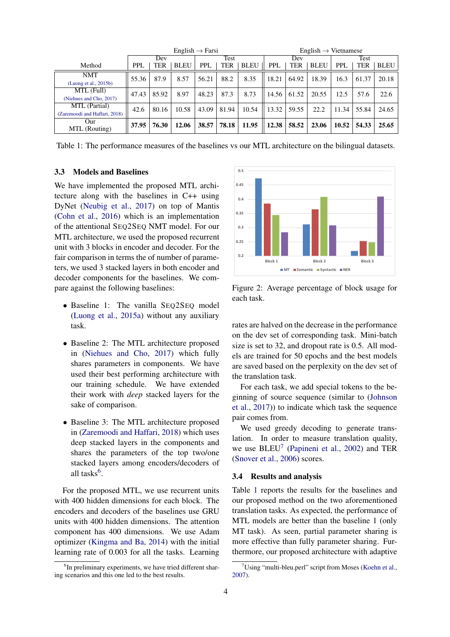<span id="page-3-2"></span>

|                               | English $\rightarrow$ Farsi |       |             |       |       |             | English $\rightarrow$ Vietnamese |       |             |            |       |       |
|-------------------------------|-----------------------------|-------|-------------|-------|-------|-------------|----------------------------------|-------|-------------|------------|-------|-------|
|                               | Dev                         |       |             | Test  |       |             | Dev                              |       |             | Test       |       |       |
| Method                        | <b>PPL</b>                  | TER   | <b>BLEU</b> | PPI.  | TER   | <b>BLEU</b> | PPL                              | TER   | <b>BLEU</b> | <b>PPL</b> | TER   | BLEU  |
| <b>NMT</b>                    | 55.36<br>87.9               |       | 8.57        | 56.21 | 88.2  | 8.35        | 18.21                            | 64.92 | 18.39       | 16.3       | 61.37 | 20.18 |
| (Luong et al., 2015b)         |                             |       |             |       |       |             |                                  |       |             |            |       |       |
| MTL (Full)                    | 47.43                       | 85.92 | 8.97        | 48.23 | 87.3  | 8.73        | 14.56                            | 61.52 | 20.55       | 12.5       | 57.6  | 22.6  |
| (Niehues and Cho, 2017)       |                             |       |             |       |       |             |                                  |       |             |            |       |       |
| MTL (Partial)                 | 42.6                        | 80.16 | 10.58       | 43.09 | 81.94 | 10.54       | 13.32                            | 59.55 | 22.2        | 11.34      | 55.84 | 24.65 |
| (Zaremoodi and Haffari, 2018) |                             |       |             |       |       |             |                                  |       |             |            |       |       |
| Our)                          | 37.95                       | 76.30 | 12.06       | 38.57 | 78.18 | 11.95       | 12.38                            | 58.52 | 23.06       | 10.52      | 54.33 | 25.65 |
| MTL (Routing)                 |                             |       |             |       |       |             |                                  |       |             |            |       |       |

Table 1: The performance measures of the baselines vs our MTL architecture on the bilingual datasets.

# 3.3 Models and Baselines

We have implemented the proposed MTL architecture along with the baselines in C++ using DyNet [\(Neubig et al.,](#page-5-13) [2017\)](#page-5-13) on top of Mantis [\(Cohn et al.,](#page-4-5) [2016\)](#page-4-5) which is an implementation of the attentional SEQ2SEQ NMT model. For our MTL architecture, we used the proposed recurrent unit with 3 blocks in encoder and decoder. For the fair comparison in terms the of number of parameters, we used 3 stacked layers in both encoder and decoder components for the baselines. We compare against the following baselines:

- Baseline 1: The vanilla SEO2SEO model [\(Luong et al.,](#page-5-14) [2015a\)](#page-5-14) without any auxiliary task.
- Baseline 2: The MTL architecture proposed in [\(Niehues and Cho,](#page-5-1) [2017\)](#page-5-1) which fully shares parameters in components. We have used their best performing architecture with our training schedule. We have extended their work with *deep* stacked layers for the sake of comparison.
- Baseline 3: The MTL architecture proposed in [\(Zaremoodi and Haffari,](#page-5-2) [2018\)](#page-5-2) which uses deep stacked layers in the components and shares the parameters of the top two/one stacked layers among encoders/decoders of all tasks<sup>[6](#page-3-0)</sup>.

For the proposed MTL, we use recurrent units with 400 hidden dimensions for each block. The encoders and decoders of the baselines use GRU units with 400 hidden dimensions. The attention component has 400 dimensions. We use Adam optimizer [\(Kingma and Ba,](#page-4-6) [2014\)](#page-4-6) with the initial learning rate of 0.003 for all the tasks. Learning

<span id="page-3-3"></span>

Figure 2: Average percentage of block usage for each task.

rates are halved on the decrease in the performance on the dev set of corresponding task. Mini-batch size is set to 32, and dropout rate is 0.5. All models are trained for 50 epochs and the best models are saved based on the perplexity on the dev set of the translation task.

For each task, we add special tokens to the beginning of source sequence (similar to [\(Johnson](#page-4-7) [et al.,](#page-4-7) [2017\)](#page-4-7)) to indicate which task the sequence pair comes from.

We used greedy decoding to generate translation. In order to measure translation quality, we use  $BLEU^7$  $BLEU^7$  [\(Papineni et al.,](#page-5-15) [2002\)](#page-5-15) and TER [\(Snover et al.,](#page-5-16) [2006\)](#page-5-16) scores.

# 3.4 Results and analysis

Table [1](#page-3-2) reports the results for the baselines and our proposed method on the two aforementioned translation tasks. As expected, the performance of MTL models are better than the baseline 1 (only MT task). As seen, partial parameter sharing is more effective than fully parameter sharing. Furthermore, our proposed architecture with adaptive

<span id="page-3-0"></span><sup>&</sup>lt;sup>6</sup>In preliminary experiments, we have tried different sharing scenarios and this one led to the best results.

<span id="page-3-1"></span> $7$ Using "multi-bleu.perl" script from Moses [\(Koehn et al.,](#page-4-8) [2007\)](#page-4-8).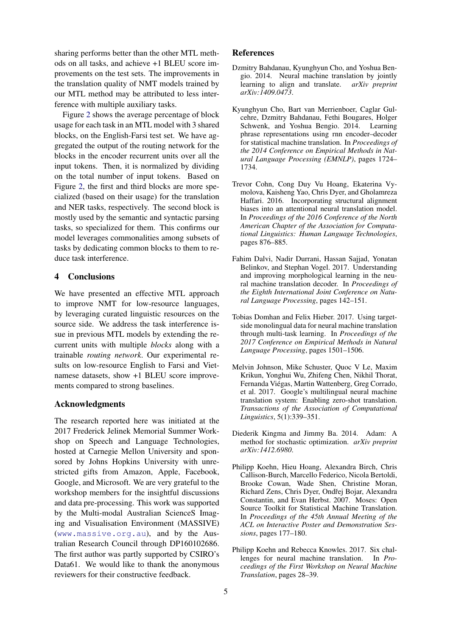sharing performs better than the other MTL methods on all tasks, and achieve +1 BLEU score improvements on the test sets. The improvements in the translation quality of NMT models trained by our MTL method may be attributed to less interference with multiple auxiliary tasks.

Figure [2](#page-3-3) shows the average percentage of block usage for each task in an MTL model with 3 shared blocks, on the English-Farsi test set. We have aggregated the output of the routing network for the blocks in the encoder recurrent units over all the input tokens. Then, it is normalized by dividing on the total number of input tokens. Based on Figure [2,](#page-3-3) the first and third blocks are more specialized (based on their usage) for the translation and NER tasks, respectively. The second block is mostly used by the semantic and syntactic parsing tasks, so specialized for them. This confirms our model leverages commonalities among subsets of tasks by dedicating common blocks to them to reduce task interference.

# 4 Conclusions

We have presented an effective MTL approach to improve NMT for low-resource languages, by leveraging curated linguistic resources on the source side. We address the task interference issue in previous MTL models by extending the recurrent units with multiple *blocks* along with a trainable *routing network*. Our experimental results on low-resource English to Farsi and Vietnamese datasets, show +1 BLEU score improvements compared to strong baselines.

#### Acknowledgments

The research reported here was initiated at the 2017 Frederick Jelinek Memorial Summer Workshop on Speech and Language Technologies, hosted at Carnegie Mellon University and sponsored by Johns Hopkins University with unrestricted gifts from Amazon, Apple, Facebook, Google, and Microsoft. We are very grateful to the workshop members for the insightful discussions and data pre-processing. This work was supported by the Multi-modal Australian ScienceS Imaging and Visualisation Environment (MASSIVE) (<www.massive.org.au>), and by the Australian Research Council through DP160102686. The first author was partly supported by CSIRO's Data61. We would like to thank the anonymous reviewers for their constructive feedback.

## References

- <span id="page-4-3"></span>Dzmitry Bahdanau, Kyunghyun Cho, and Yoshua Bengio. 2014. Neural machine translation by jointly learning to align and translate. *arXiv preprint arXiv:1409.0473*.
- <span id="page-4-4"></span>Kyunghyun Cho, Bart van Merrienboer, Caglar Gulcehre, Dzmitry Bahdanau, Fethi Bougares, Holger Schwenk, and Yoshua Bengio. 2014. Learning phrase representations using rnn encoder–decoder for statistical machine translation. In *Proceedings of the 2014 Conference on Empirical Methods in Natural Language Processing (EMNLP)*, pages 1724– 1734.
- <span id="page-4-5"></span>Trevor Cohn, Cong Duy Vu Hoang, Ekaterina Vymolova, Kaisheng Yao, Chris Dyer, and Gholamreza Haffari. 2016. Incorporating structural alignment biases into an attentional neural translation model. In *Proceedings of the 2016 Conference of the North American Chapter of the Association for Computational Linguistics: Human Language Technologies*, pages 876–885.
- <span id="page-4-2"></span>Fahim Dalvi, Nadir Durrani, Hassan Sajjad, Yonatan Belinkov, and Stephan Vogel. 2017. Understanding and improving morphological learning in the neural machine translation decoder. In *Proceedings of the Eighth International Joint Conference on Natural Language Processing*, pages 142–151.
- <span id="page-4-1"></span>Tobias Domhan and Felix Hieber. 2017. Using targetside monolingual data for neural machine translation through multi-task learning. In *Proceedings of the 2017 Conference on Empirical Methods in Natural Language Processing*, pages 1501–1506.
- <span id="page-4-7"></span>Melvin Johnson, Mike Schuster, Quoc V Le, Maxim Krikun, Yonghui Wu, Zhifeng Chen, Nikhil Thorat, Fernanda Viegas, Martin Wattenberg, Greg Corrado, ´ et al. 2017. Google's multilingual neural machine translation system: Enabling zero-shot translation. *Transactions of the Association of Computational Linguistics*, 5(1):339–351.
- <span id="page-4-6"></span>Diederik Kingma and Jimmy Ba. 2014. Adam: A method for stochastic optimization. *arXiv preprint arXiv:1412.6980*.
- <span id="page-4-8"></span>Philipp Koehn, Hieu Hoang, Alexandra Birch, Chris Callison-Burch, Marcello Federico, Nicola Bertoldi, Brooke Cowan, Wade Shen, Christine Moran, Richard Zens, Chris Dyer, Ondřej Bojar, Alexandra Constantin, and Evan Herbst. 2007. Moses: Open Source Toolkit for Statistical Machine Translation. In *Proceedings of the 45th Annual Meeting of the ACL on Interactive Poster and Demonstration Sessions*, pages 177–180.
- <span id="page-4-0"></span>Philipp Koehn and Rebecca Knowles. 2017. Six challenges for neural machine translation. In *Proceedings of the First Workshop on Neural Machine Translation*, pages 28–39.